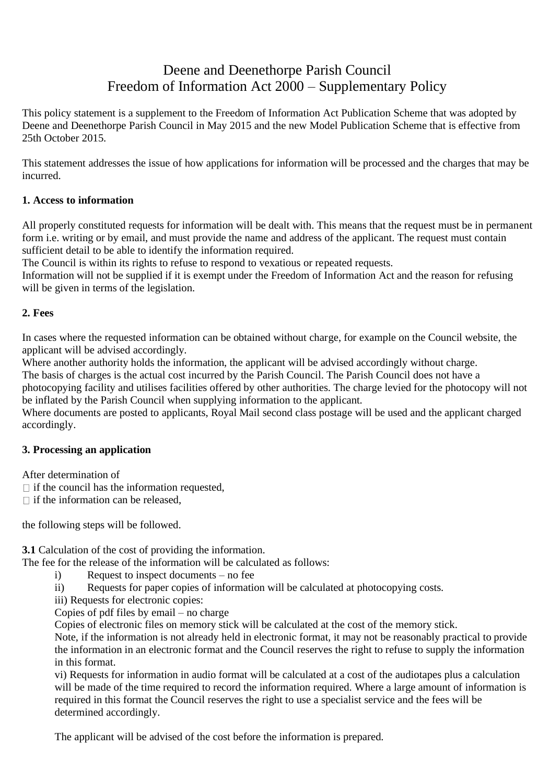# Deene and Deenethorpe Parish Council Freedom of Information Act 2000 – Supplementary Policy

This policy statement is a supplement to the Freedom of Information Act Publication Scheme that was adopted by Deene and Deenethorpe Parish Council in May 2015 and the new Model Publication Scheme that is effective from 25th October 2015.

This statement addresses the issue of how applications for information will be processed and the charges that may be incurred.

## **1. Access to information**

All properly constituted requests for information will be dealt with. This means that the request must be in permanent form i.e. writing or by email, and must provide the name and address of the applicant. The request must contain sufficient detail to be able to identify the information required.

The Council is within its rights to refuse to respond to vexatious or repeated requests.

Information will not be supplied if it is exempt under the Freedom of Information Act and the reason for refusing will be given in terms of the legislation.

## **2. Fees**

In cases where the requested information can be obtained without charge, for example on the Council website, the applicant will be advised accordingly.

Where another authority holds the information, the applicant will be advised accordingly without charge.

The basis of charges is the actual cost incurred by the Parish Council. The Parish Council does not have a

photocopying facility and utilises facilities offered by other authorities. The charge levied for the photocopy will not be inflated by the Parish Council when supplying information to the applicant.

Where documents are posted to applicants, Royal Mail second class postage will be used and the applicant charged accordingly.

## **3. Processing an application**

After determination of

 $\Box$  if the council has the information requested,

 $\Box$  if the information can be released,

the following steps will be followed.

**3.1** Calculation of the cost of providing the information.

The fee for the release of the information will be calculated as follows:

- i) Request to inspect documents no fee
- ii) Requests for paper copies of information will be calculated at photocopying costs.
- iii) Requests for electronic copies:

Copies of pdf files by email – no charge

Copies of electronic files on memory stick will be calculated at the cost of the memory stick.

Note, if the information is not already held in electronic format, it may not be reasonably practical to provide the information in an electronic format and the Council reserves the right to refuse to supply the information in this format.

vi) Requests for information in audio format will be calculated at a cost of the audiotapes plus a calculation will be made of the time required to record the information required. Where a large amount of information is required in this format the Council reserves the right to use a specialist service and the fees will be determined accordingly.

The applicant will be advised of the cost before the information is prepared.